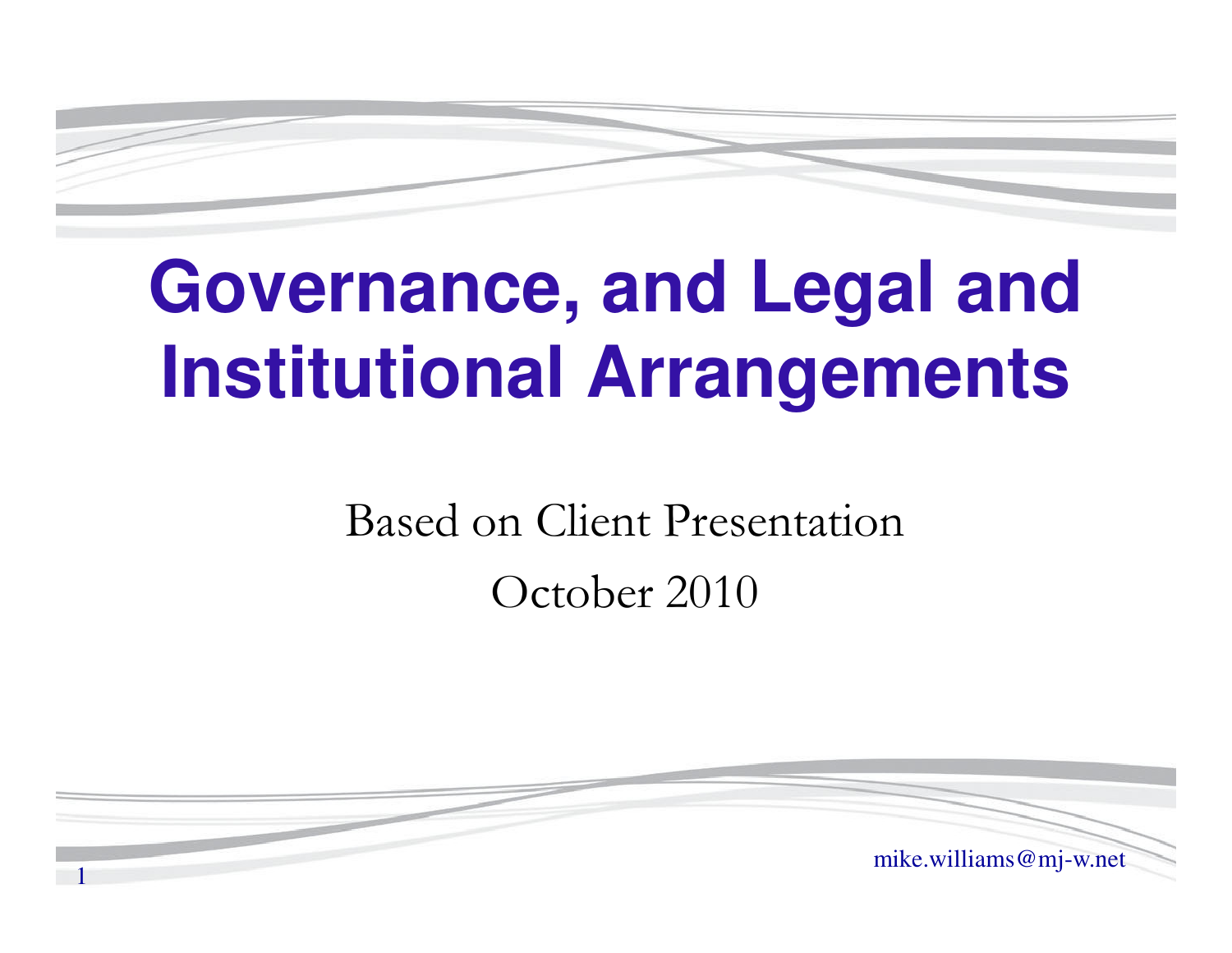# **Governance, and Legal and Institutional Arrangements**

Based on Client PresentationOctober 2010

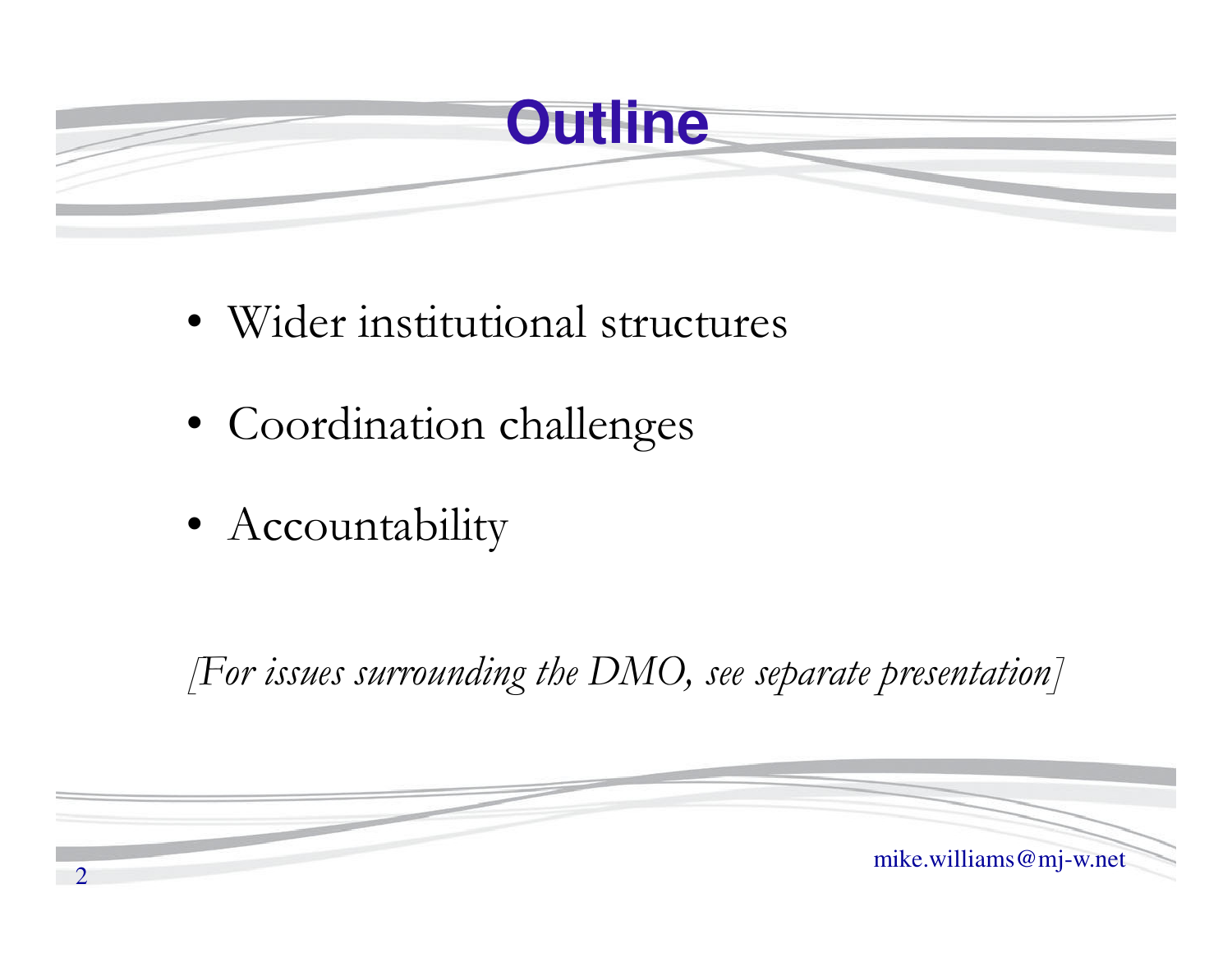

- Wider institutional structures
- Coordination challenges
- Accountability

*[For issues surrounding the DMO, see separate presentation]*

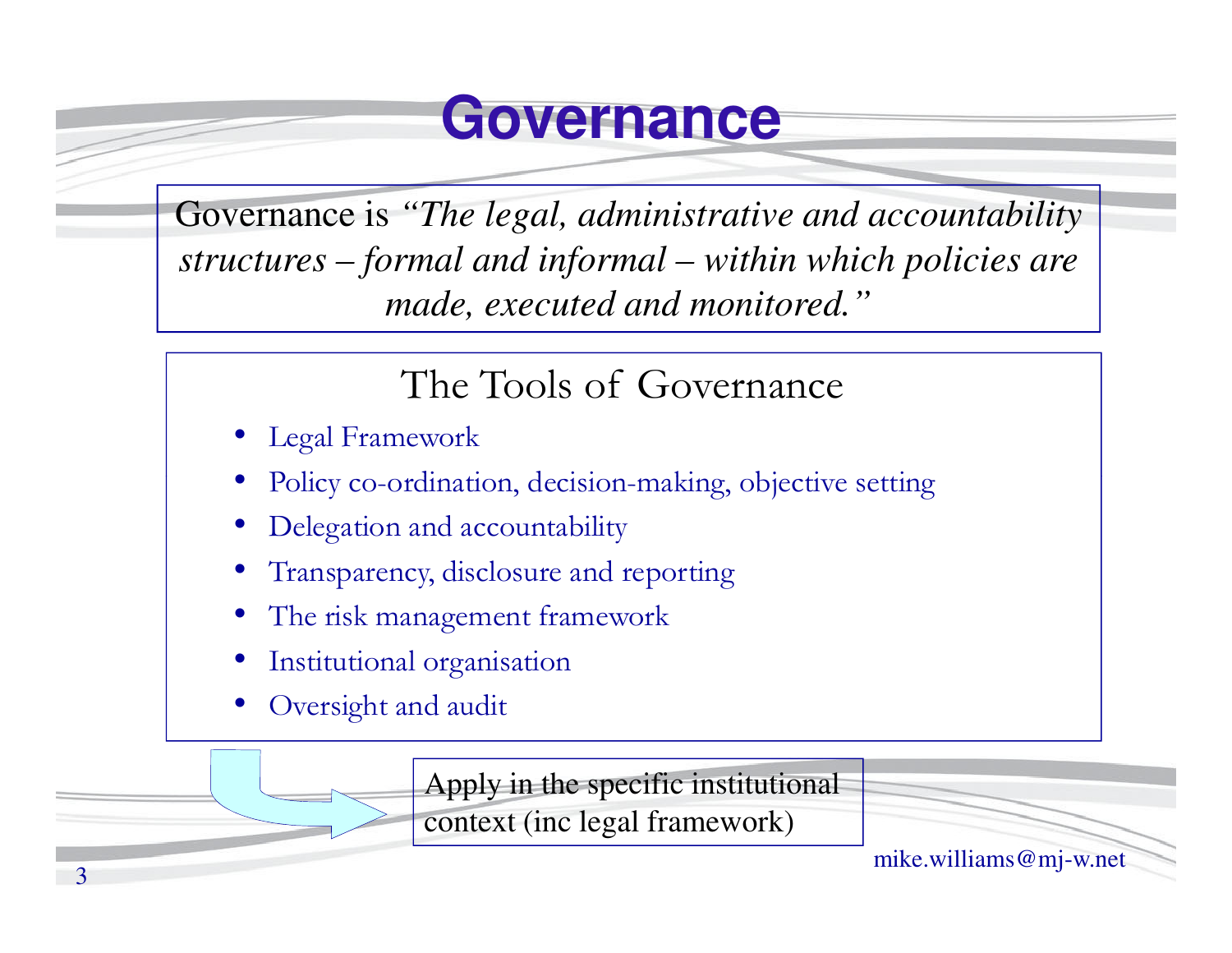#### **Governance**

Governance is *"The legal, administrative and accountability structures – formal and informal – within which policies are made, executed and monitored."*

#### The Tools of Governance

- •Legal Framework
- •Policy co-ordination, decision-making, objective setting
- •Delegation and accountability
- •Transparency, disclosure and reporting
- •The risk management framework
- •Institutional organisation
- •Oversight and audit

Apply in the specific institutional

context (inc legal framework)

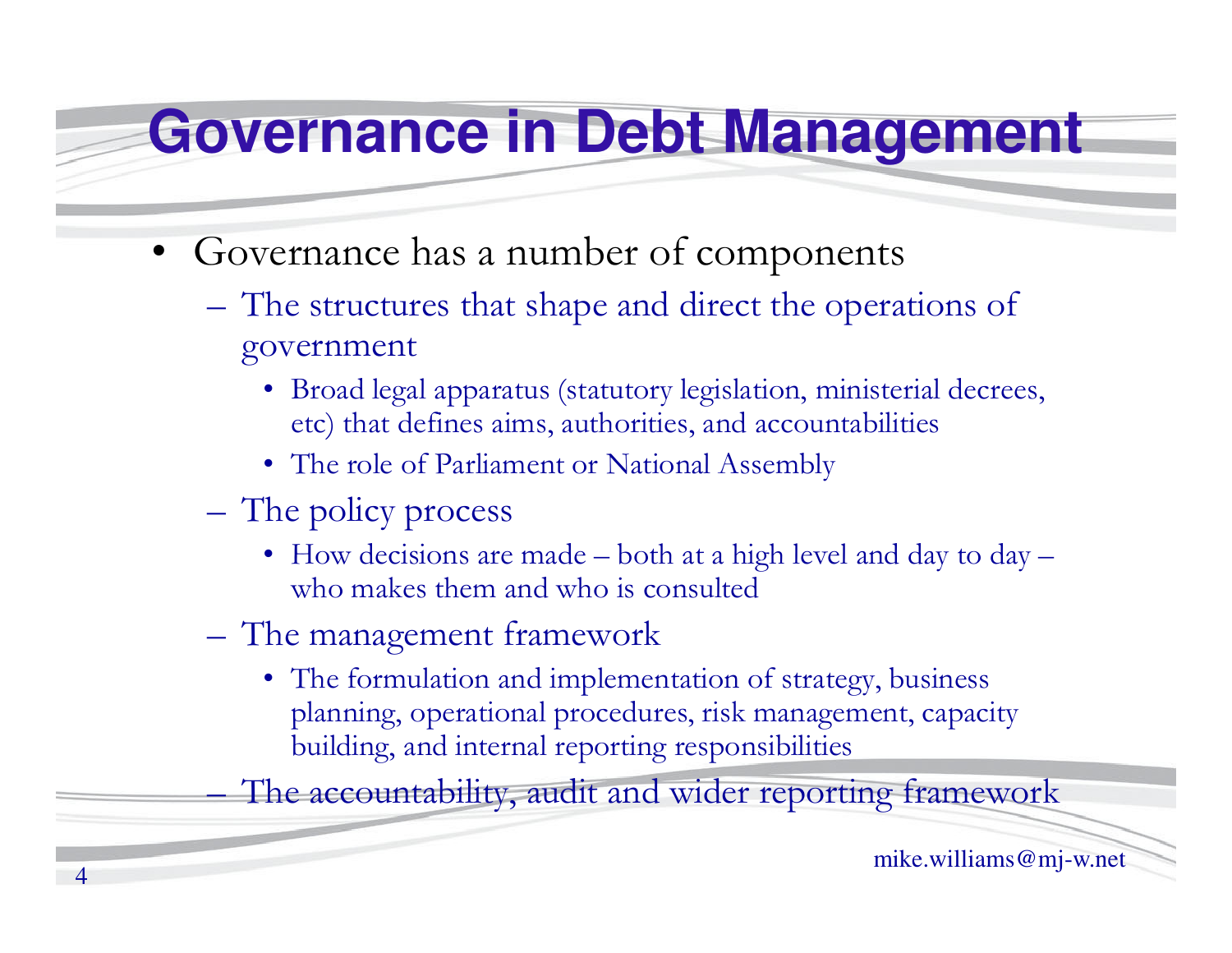#### **Governance in Debt Management**

- • Governance has a number of components
	- –The structures that shape and direct the operations of government
		- Broad legal apparatus (statutory legislation, ministerial decrees, etc) that defines aims, authorities, and accountabilities
		- The role of Parliament or National Assembly
	- –The policy process
		- How decisions are made both at a high level and day to day who makes them and who is consulted
	- **Hart Committee Committee** The management framework
		- The formulation and implementation of strategy, business planning, operational procedures, risk management, capacity building, and internal reporting responsibilities

The accountability, audit and wider reporting framework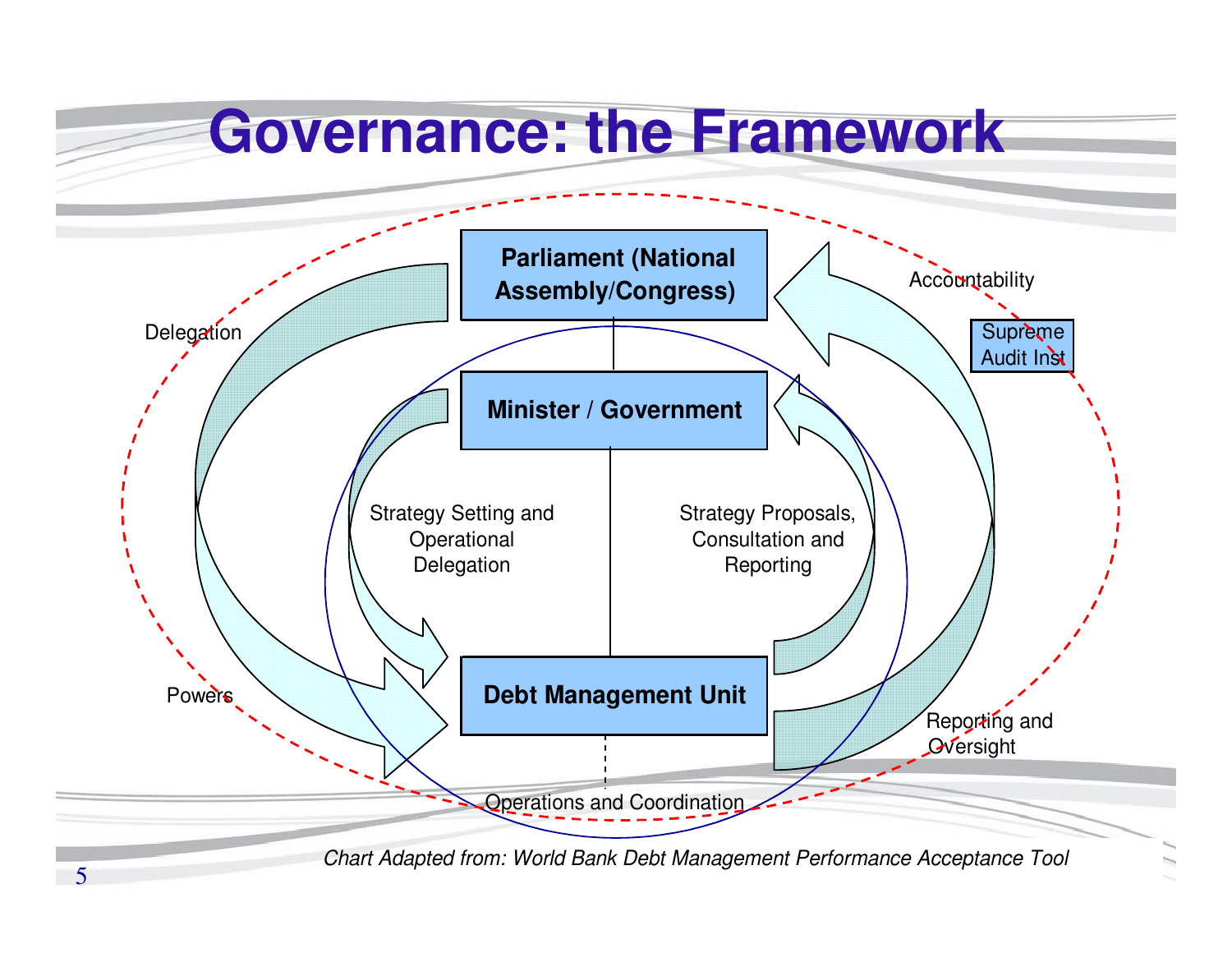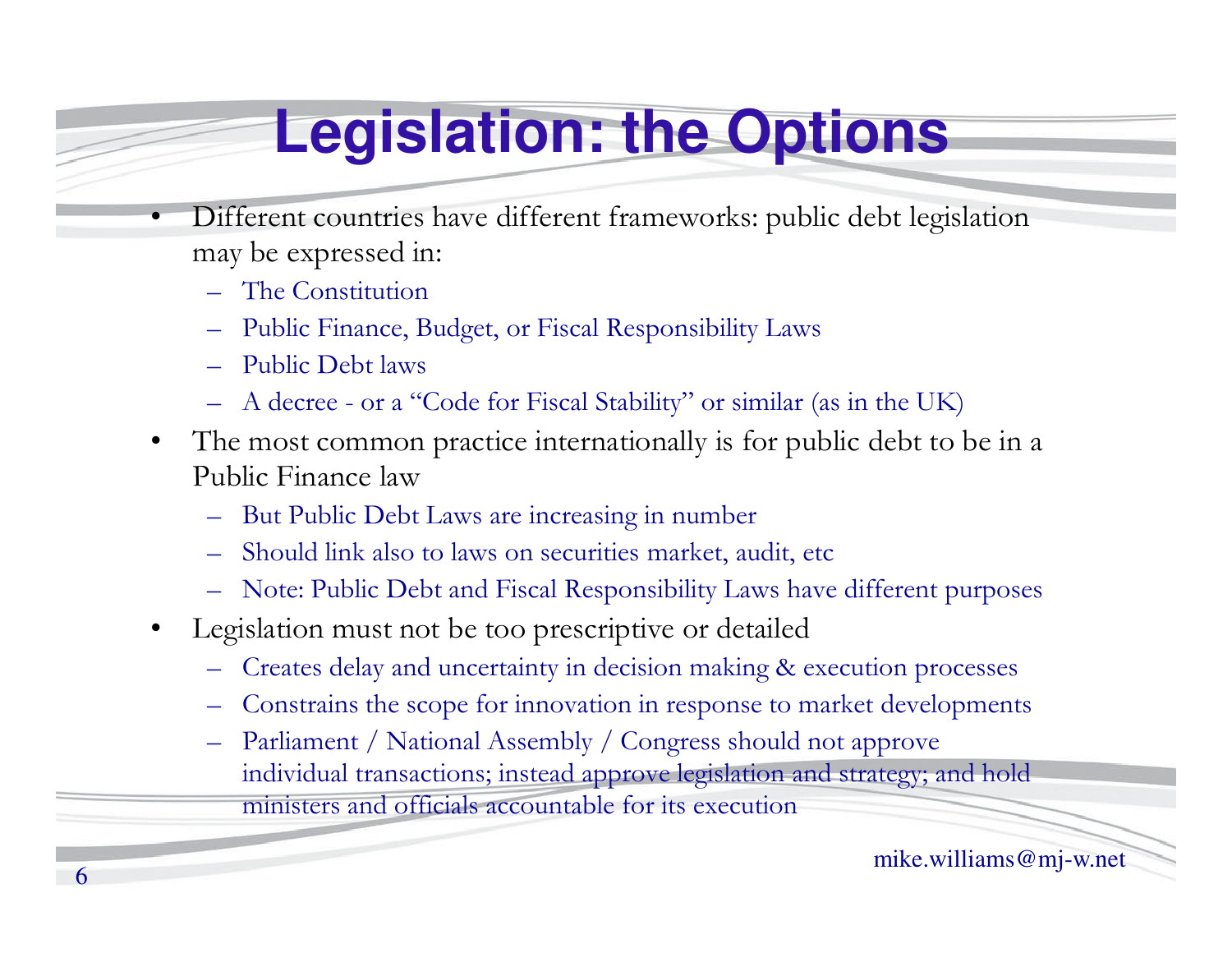#### **Legislation: the Options**

- • Different countries have different frameworks: public debt legislation may be expressed in:
	- The Constitution
	- Public Finance, Budget, or Fiscal Responsibility Laws
	- –Public Debt laws
	- –A decree - or a "Code for Fiscal Stability" or similar (as in the UK)
- • The most common practice internationally is for public debt to be in a Public Finance law
	- But Public Debt Laws are increasing in number –
	- –Should link also to laws on securities market, audit, etc
	- Note: Public Debt and Fiscal Responsibility Laws have different purposes
- • Legislation must not be too prescriptive or detailed
	- Creates delay and uncertainty in decision making & execution processes
	- –Constrains the scope for innovation in response to market developments
	- – Parliament / National Assembly / Congress should not approve individual transactions; instead approve legislation and strategy; and hold ministers and officials accountable for its execution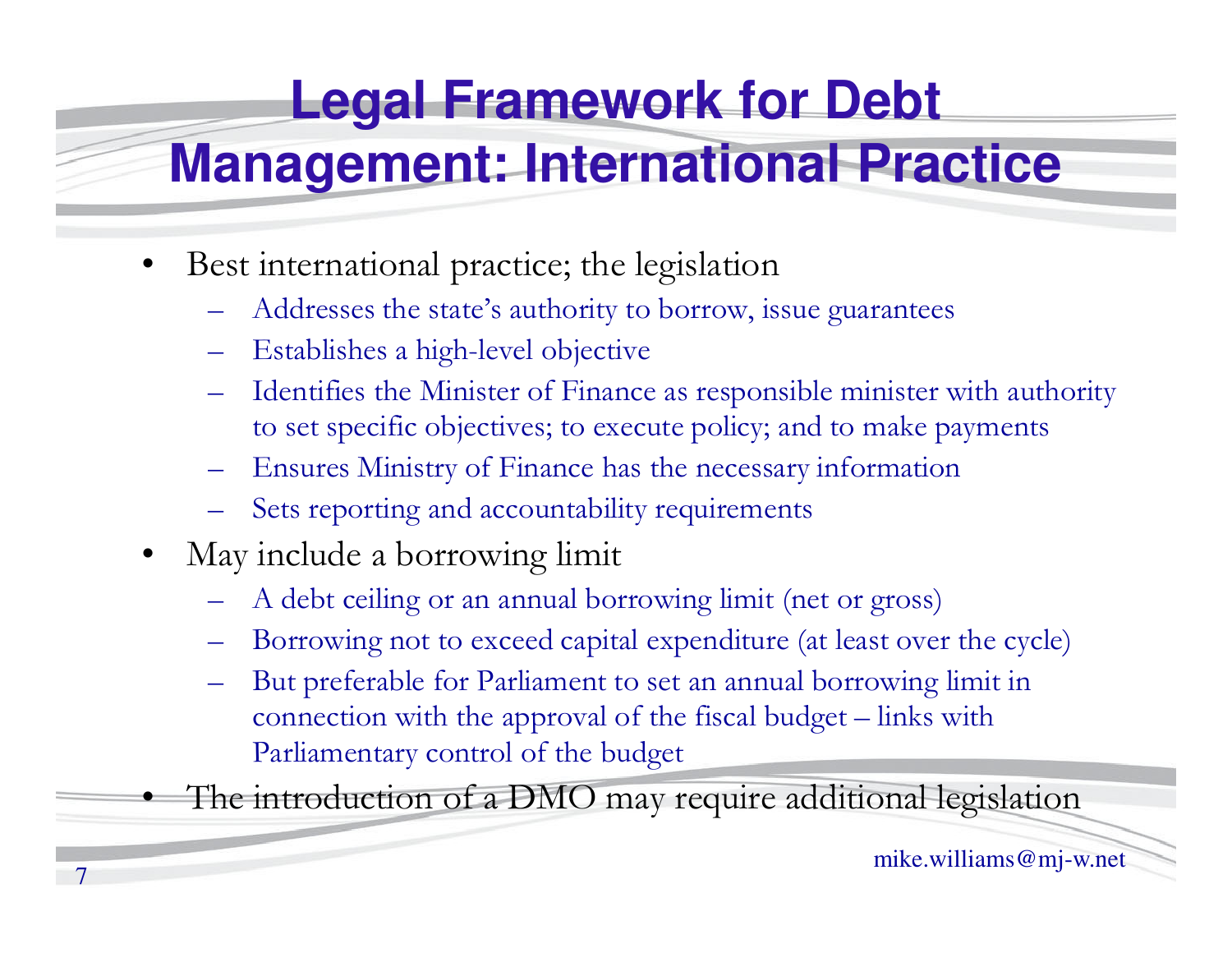#### **Legal Framework for Debt**

#### **Management: International Practice**

- $\bullet$  Best international practice; the legislation
	- Addresses the state's authority to borrow, issue guarantees
	- Establishes a high-level objective
	- Identifies the Minister of Finance as responsible minister with authority to set specific objectives; to execute policy; and to make payments
	- Ensures Ministry of Finance has the necessary information
	- Sets reporting and accountability requirements
- May include a borrowing limit
	- A debt ceiling or an annual borrowing limit (net or gross)
	- Borrowing not to exceed capital expenditure (at least over the cycle)
	- But preferable for Parliament to set an annual borrowing limit in connection with the approval of the fiscal budget – links with Parliamentary control of the budget

The introduction of a DMO may require additional legislation

•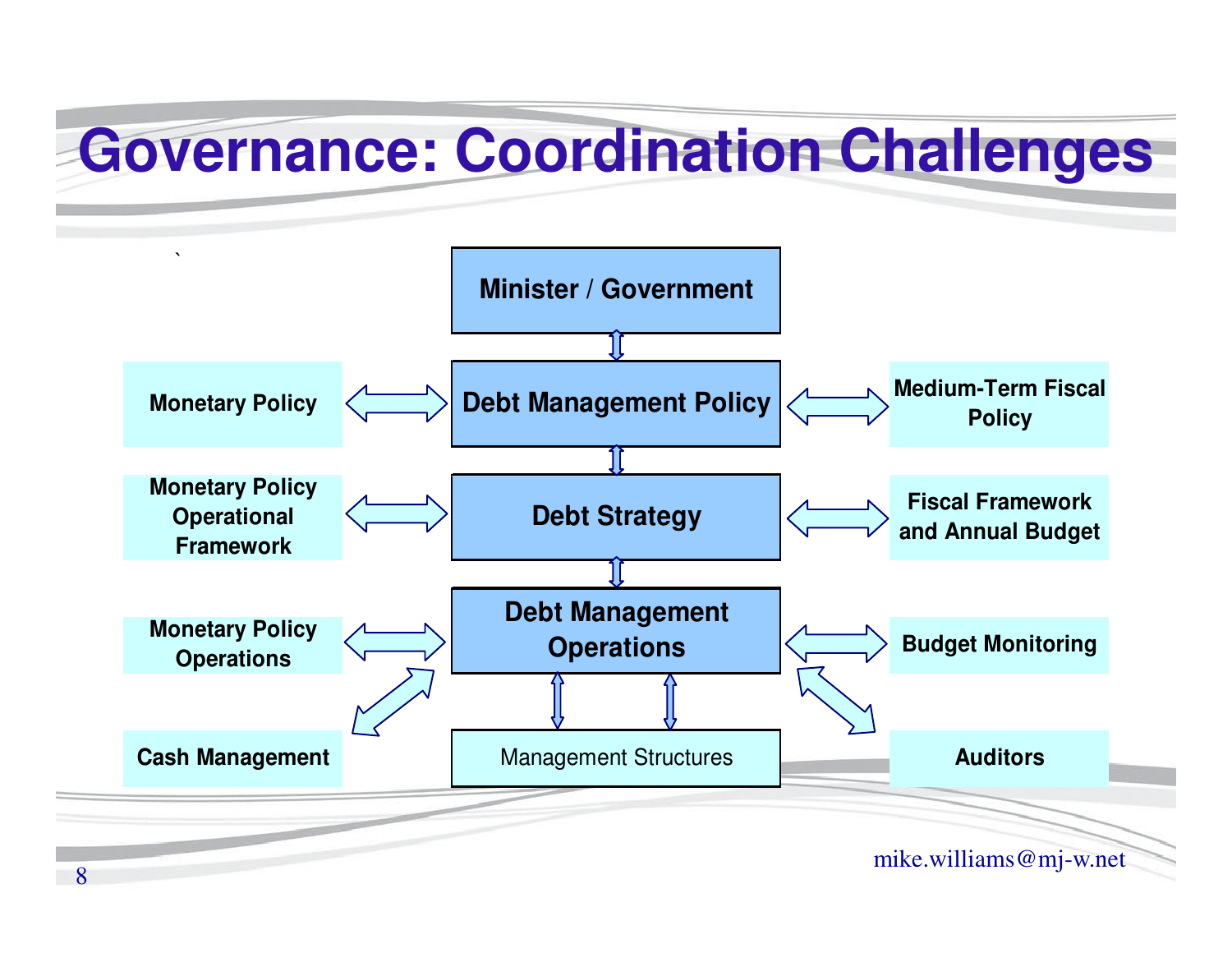#### **Governance: Coordination Challenges**

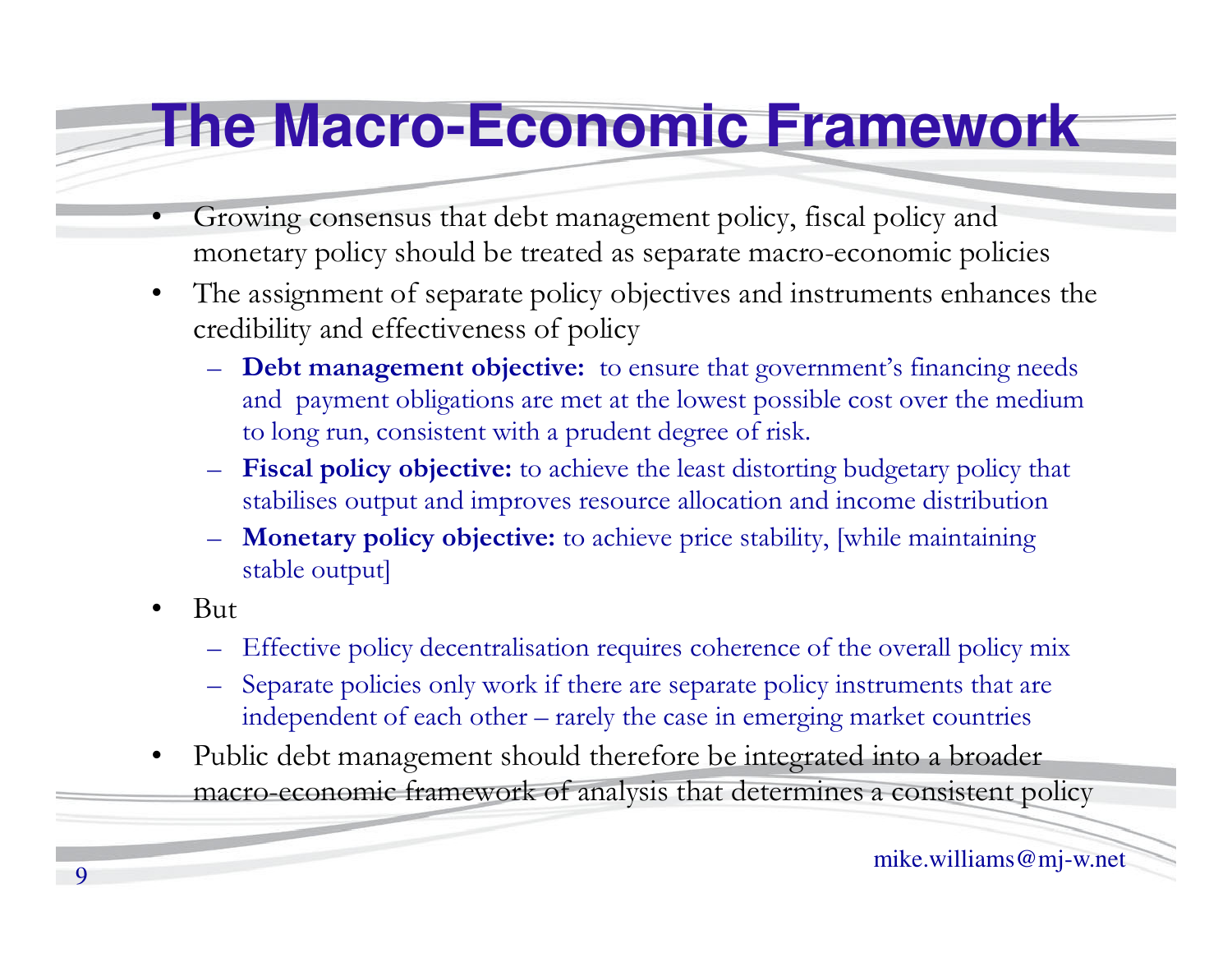#### **The Macro-Economic Framework**

- • Growing consensus that debt management policy, fiscal policy and monetary policy should be treated as separate macro-economic policies
- $\bullet$  The assignment of separate policy objectives and instruments enhances the credibility and effectiveness of policy
	- **Debt management objective:** to ensure that government's financing needs and payment obligations are met at the lowest possible cost over the medium to long run, consistent with a prudent degree of risk.
	- – **Fiscal policy objective:** to achieve the least distorting budgetary policy that stabilises output and improves resource allocation and income distribution
	- – **Monetary policy objective:** to achieve price stability, [while maintaining stable output]
- • But
	- –Effective policy decentralisation requires coherence of the overall policy mix
	- – Separate policies only work if there are separate policy instruments that are independent of each other – rarely the case in emerging market countries
- • Public debt management should therefore be integrated into a broader macro-economic framework of analysis that determines a consistent policy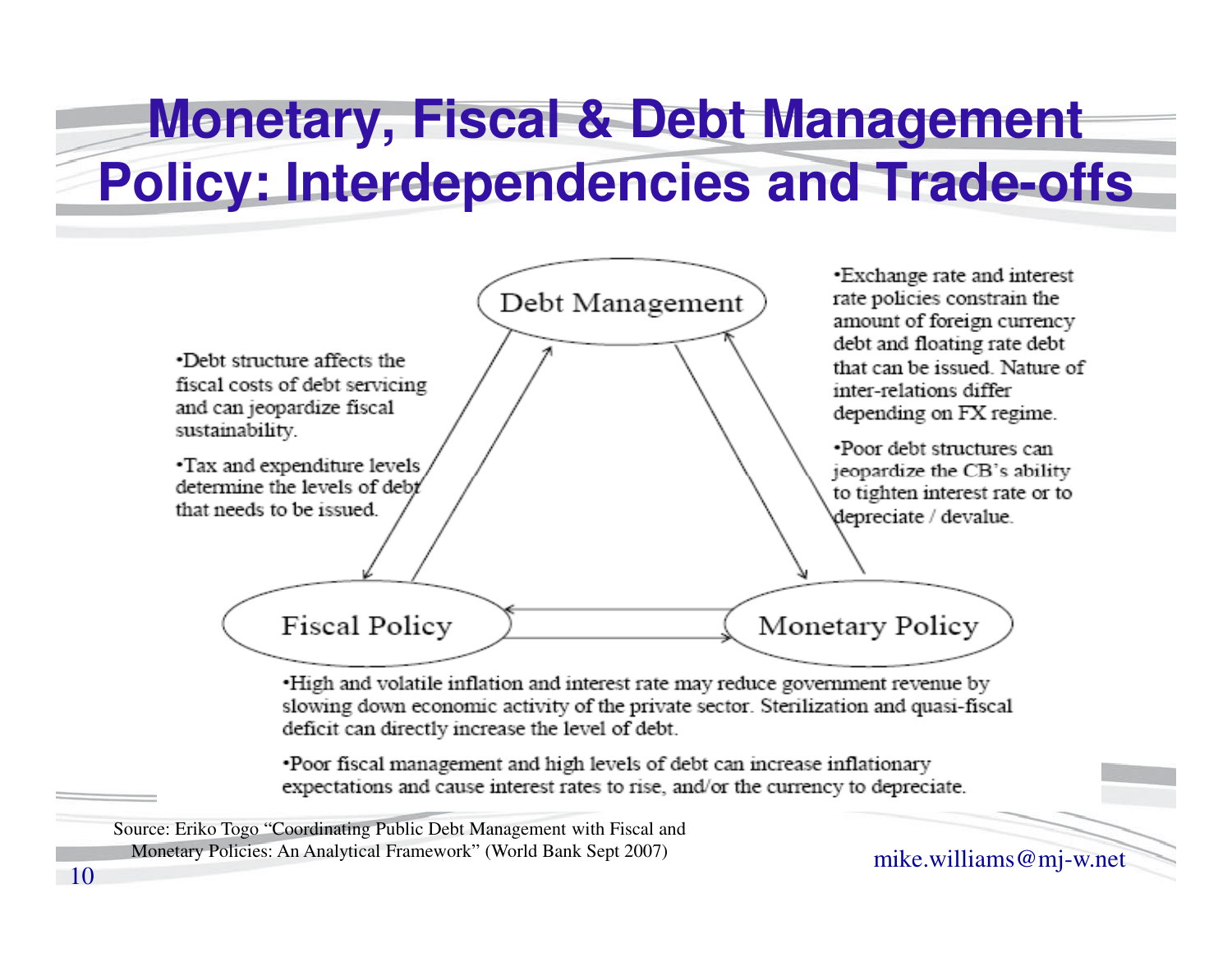#### **Monetary, Fiscal & Debt Management Policy: Interdependencies and Trade-offs**



. High and volatile inflation and interest rate may reduce government revenue by slowing down economic activity of the private sector. Sterilization and quasi-fiscal deficit can directly increase the level of debt.

•Poor fiscal management and high levels of debt can increase inflationary expectations and cause interest rates to rise, and/or the currency to depreciate.

Monetary Poncies: An Analytical Framework (world Bank Sept 2007) mike.williams  $@$  mj-w.net<br>0 Source: Eriko Togo "Coordinating Public Debt Management with Fiscal and Monetary Policies: An Analytical Framework" (World Bank Sept 2007)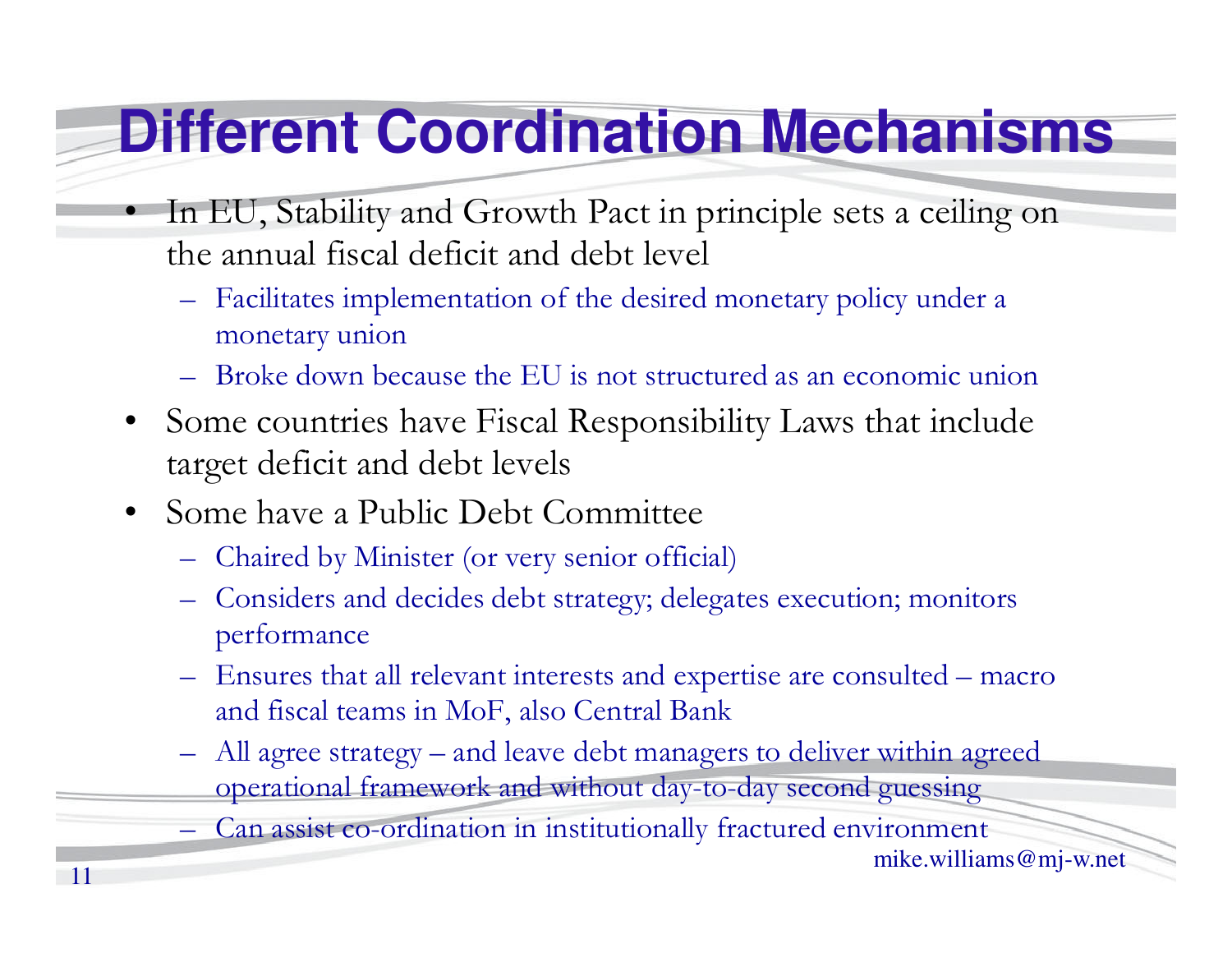#### **Different Coordination Mechanisms**

- In EU, Stability and Growth Pact in principle sets a ceiling on the annual fiscal deficit and debt level
	- Facilitates implementation of the desired monetary policy under a monetary union
	- Broke down because the EU is not structured as an economic union
- • Some countries have Fiscal Responsibility Laws that include target deficit and debt levels
- $\bullet$  Some have a Public Debt Committee
	- Chaired by Minister (or very senior official)
	- Considers and decides debt strategy; delegates execution; monitors performance
	- Ensures that all relevant interests and expertise are consulted macro and fiscal teams in MoF, also Central Bank
	- All agree strategy and leave debt managers to deliver within agreed operational framework and without day-to-day second guessing

Can assist co-ordination in institutionally fractured environment

mike.williams@mj-w.net

•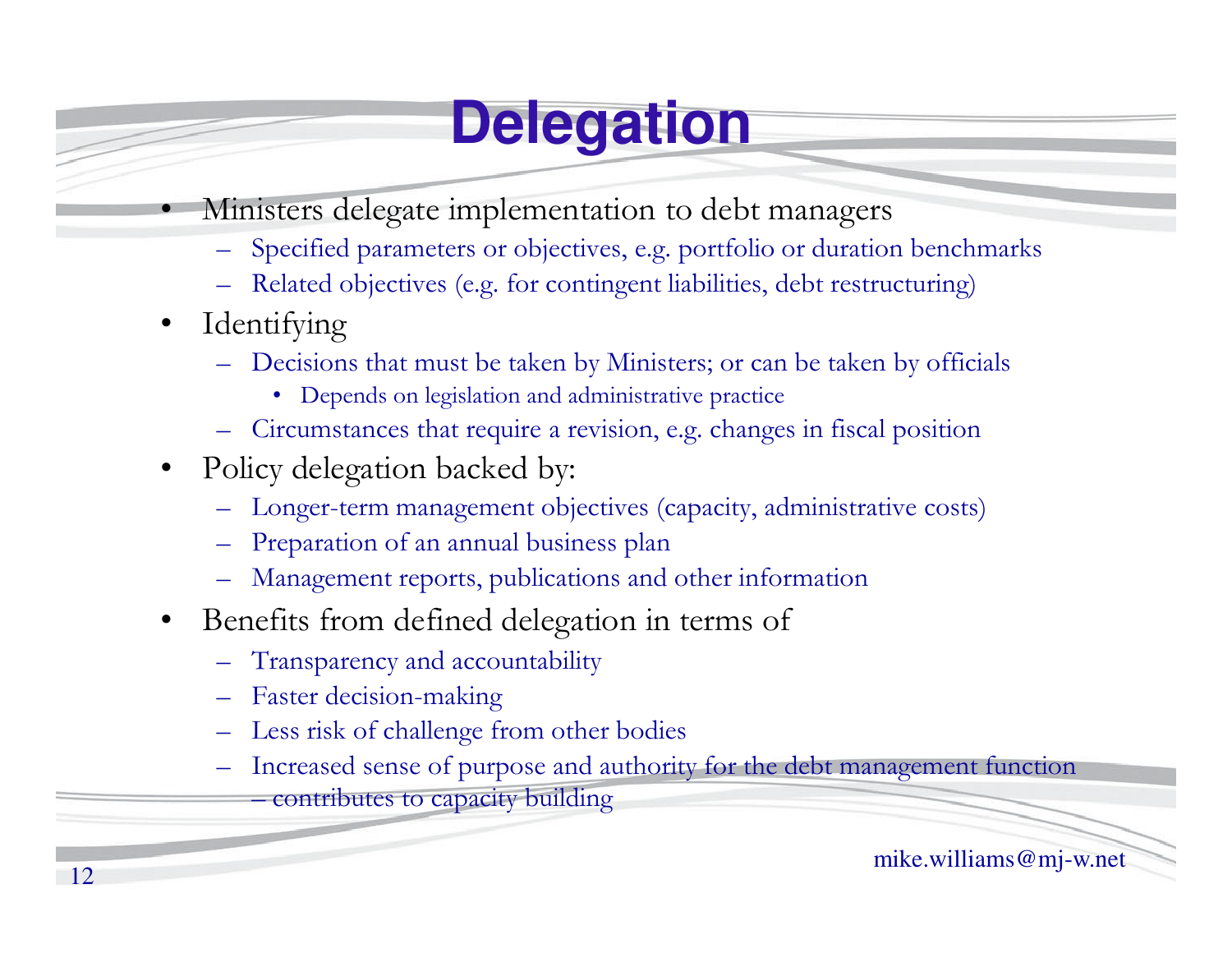### **Delegation**

- Ministers delegate implementation to debt managers
	- Specified parameters or objectives, e.g. portfolio or duration benchmarks
	- Related objectives (e.g. for contingent liabilities, debt restructuring)
- •Identifying

•

- – Decisions that must be taken by Ministers; or can be taken by officials
	- Depends on legislation and administrative practice
- Circumstances that require a revision, e.g. changes in fiscal position
- $\bullet$  Policy delegation backed by:
	- –Longer-term management objectives (capacity, administrative costs)
	- Preparation of an annual business plan
	- Management reports, publications and other information
- $\bullet$  Benefits from defined delegation in terms of
	- –Transparency and accountability
	- Faster decision-making
	- Less risk of challenge from other bodies
	- – Increased sense of purpose and authority for the debt management function
		- contributes to capacity building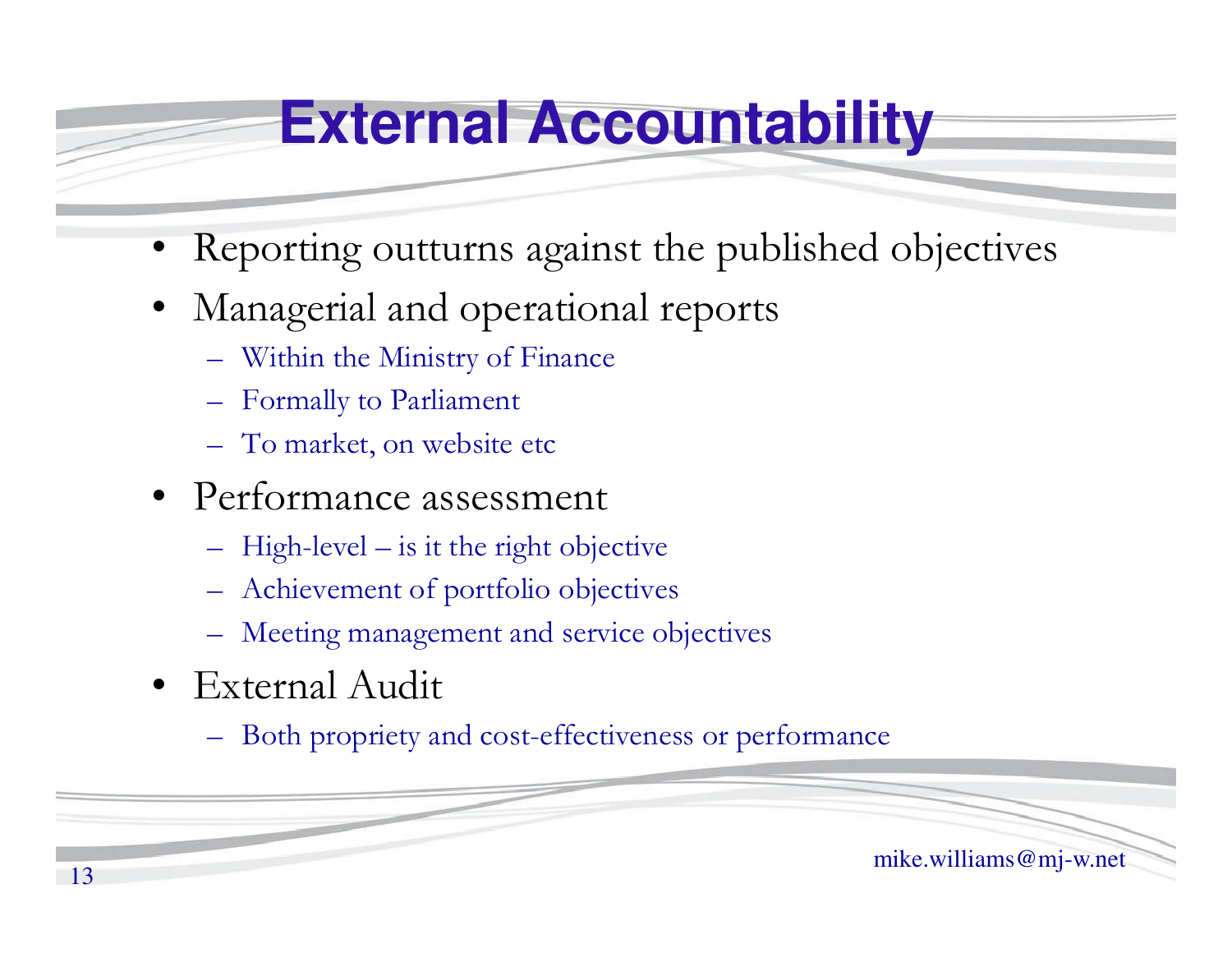#### **External Accountability**

- •Reporting outturns against the published objective s
- • Managerial and operational reports
	- Within the Ministry of Finance
	- Formally to Parliament
	- To market, on website etc
- Performance assessment
	- High-level is it the right objective
	- Achievement of portfolio objectives
	- Meeting management and service objectives
- External Audit
	- Both propriety and cost-effectiveness or performance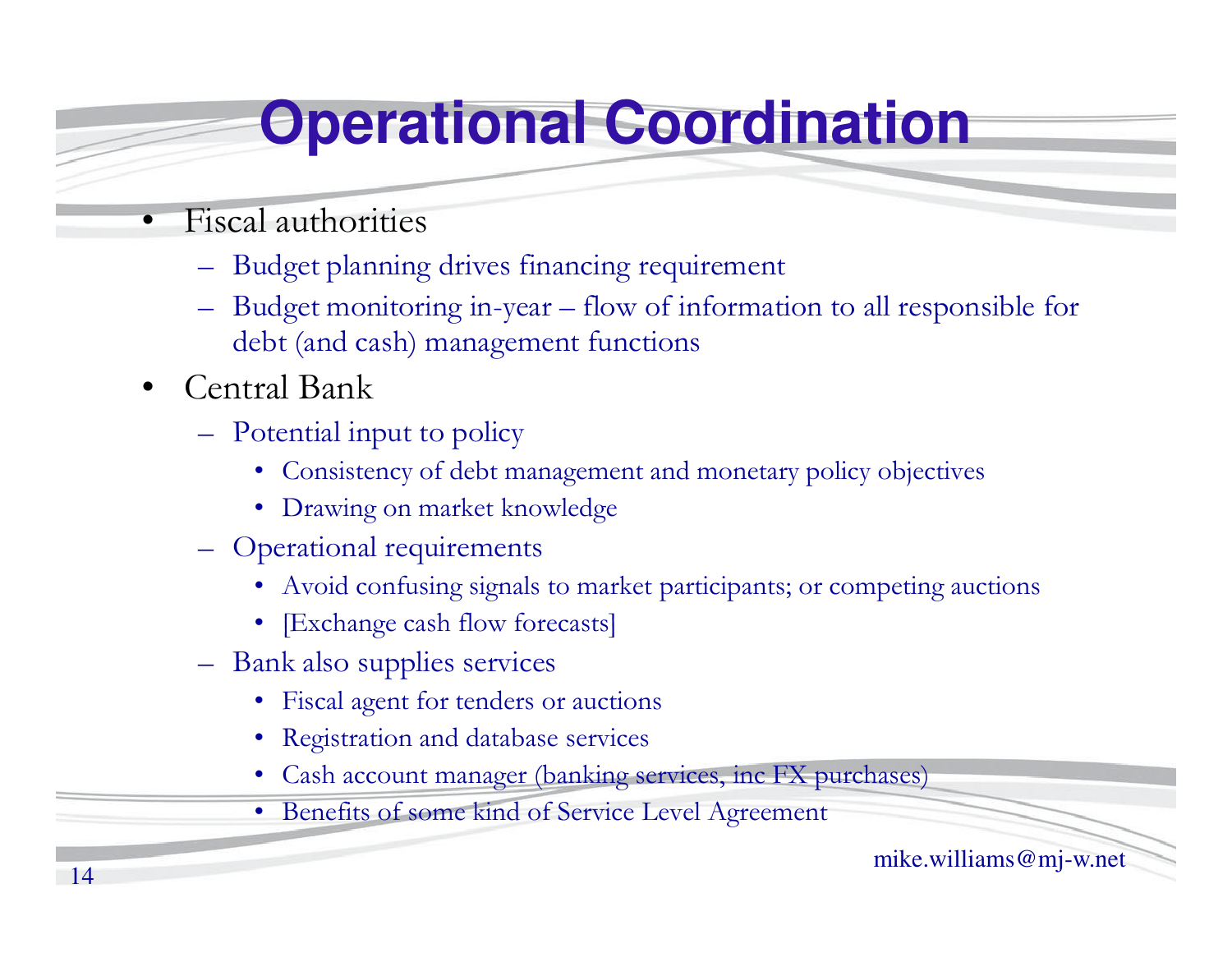#### **Operational Coordination**

- • Fiscal authorities
	- Budget planning drives financing requirement
	- Budget monitoring in-year flow of information to all responsible for debt (and cash) management functions
- • Central Bank
	- Potential input to policy
		- Consistency of debt management and monetary policy objectives
		- Drawing on market knowledge
	- Operational requirements
		- Avoid confusing signals to market participants; or competing auctions
		- [Exchange cash flow forecasts]
	- Bank also supplies services
		- Fiscal agent for tenders or auctions
		- Registration and database services
		- Cash account manager (banking services, inc FX purchases)
		- Benefits of some kind of Service Level Agreement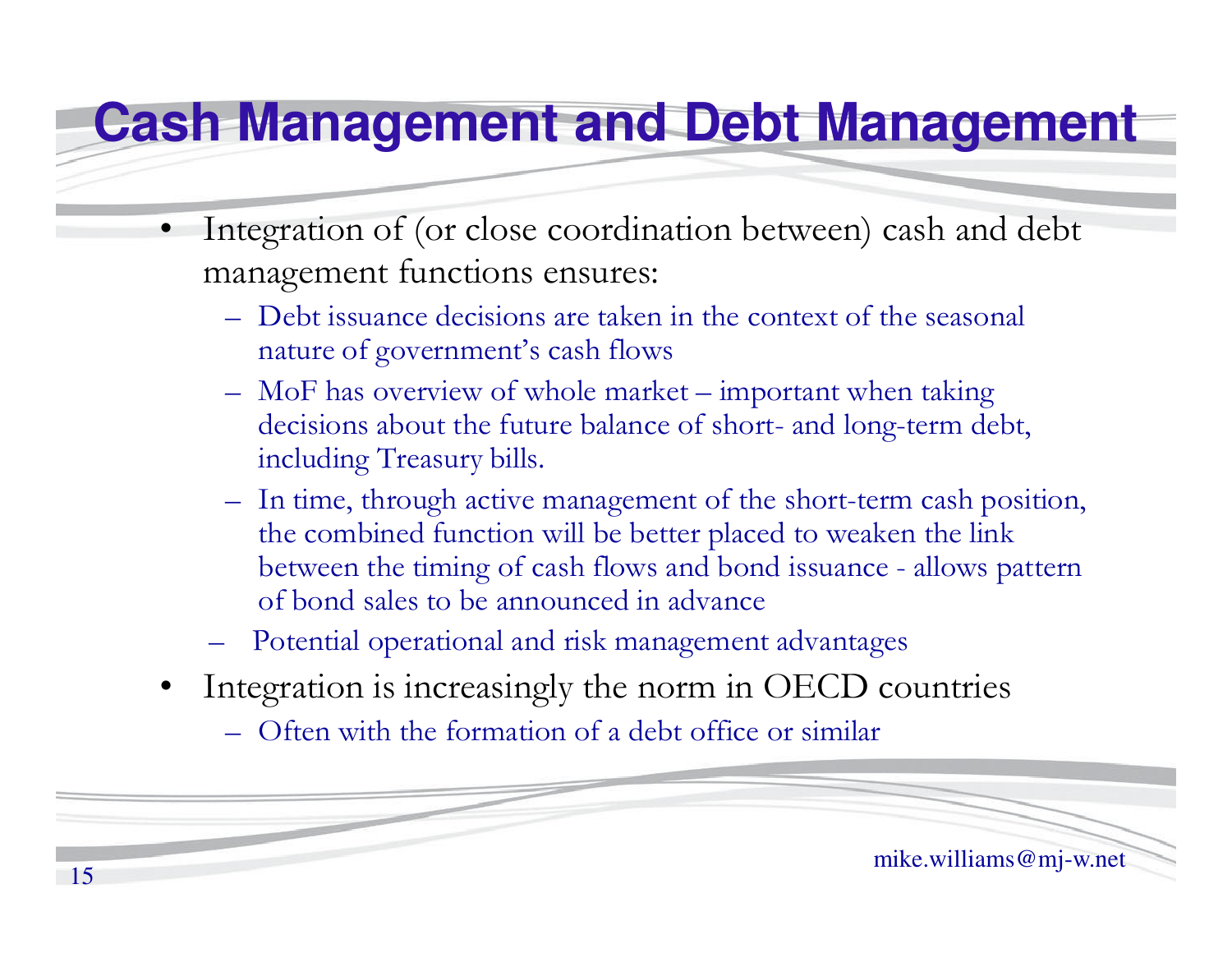#### **Cash Management and Debt Management**

- • Integration of (or close coordination between) cash and debt management functions ensures:
	- Debt issuance decisions are taken in the context of the seasonal nature of government's cash flows
	- MoF has overview of whole market important when taking decisions about the future balance of short- and long-term debt, including Treasury bills.
	- In time, through active management of the short-term cash position, the combined function will be better placed to weaken the link between the timing of cash flows and bond issuance - allows pattern of bond sales to be announced in advance
	- Potential operational and risk management advantages
- • Integration is increasingly the norm in OECD countries
	- $\mathcal{L}_{\mathcal{A}}$ Often with the formation of a debt office or similar

mike.williams@mj-w.net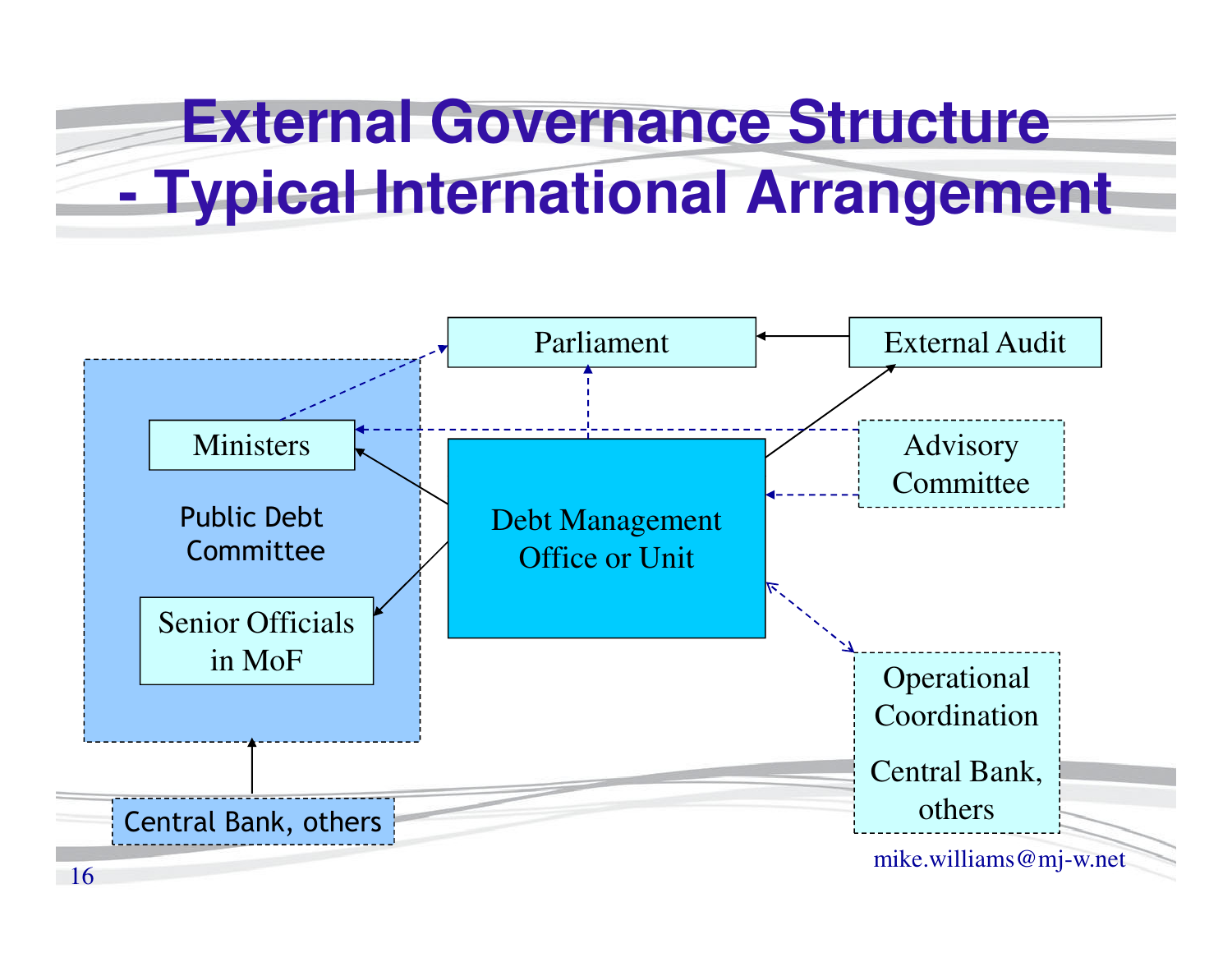## **External Governance Structure Typical International Arrangement**